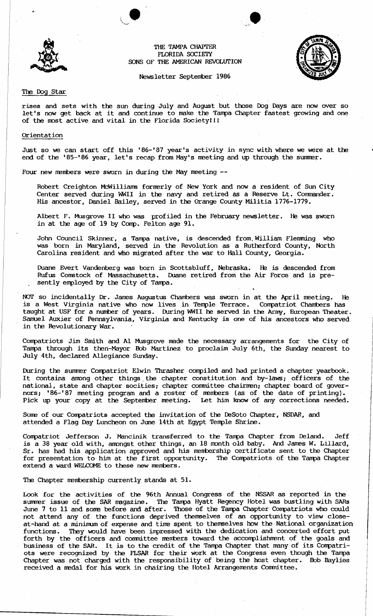



### Newsletter September 1986

## The Dog Star

rises and sets with the sun during July and August but those Dog Days are now over so let's now get back at it and continue to make the Tampa Chapter fastest growing and one of the most active and vital in the Florida Society!!!

### Orientation

Just so we can start off this '86-'87 year's activity in sync with where we were at the end of the '85-'86 year, let's recap from May's meeting and up through the summer.

Four new members were sworn in during the May meeting --

Robert Creighton McWilliams formerly of New York and now a resident of Sun City Center served during WWII in the navy and retired as a Reserve Lt. Commander. His ancestor, Daniel Bailey, served in the Orange County Militia 1776-1779.

Albert F. Musgrove II who was profiled in the February newsletter. He was sworn in at the age of 19 by Comp. Felton age 91.

John Council Skinner, a Tampa native, is descended from William Flemming who was born in Maryland, served in the ReVOlution as a Rutherford County, North Carolina resident and who migrated after the war to Hall County, Georgia.

Duane Evert Vandenberg was born in Scottsbluff, Nebraska. He is descended from Rufus Constock of Massachusetts. Duane retired from the Air Force and is presently employed by the City of Tampa.

NOT so incidentally Dr. James Augustus Chambers was sworn in at the April meeting. He is a West Virginia native who now lives in Temple Terrace. Compatriot Chambers has taught at USF for a number of years. During WWII he served in the Army, European Theater. Samuel Auxier of Pennsylvania, Virginia and Kentucky is one of his ancestors who served in the Revolutionary War.

Compatriots Jim Smith and Al Musgrove made the necessary arrangements for the City of Tampa through its then-Mayor Bob Martinez to proclaim July 6th, the Sunday nearest to Juiy 4th, declared Allegiance Sunday.

During the summer Compatriot Elwin Thrasher compiled and had printed a chapter yearbook. It contains among other things the chapter constitution and by-laws; officers of the national, state and chapter socities; chapter committee chairmen; chapter board of governors; '86-'87 meeting program and a roster of members (as of the date of printing).<br>Pick up your copy at the September meeting. Let him know of any corrections needed. Pick up your copy at the September meeting.

Some of our Compatriots accepted the invitation of the DeSoto Chapter, NSDAR, and attended a Flag Day Luncheon on June 14th at Egypt Temple Shrine.

Compatriot Jefferson J. Mancinik transferred to the Tampa Chapter from Deland. Jeff is a 38 year old with, amongst other things, an 18 month old baby. And James W. Lillard, Sr. has had his application approved and his membership certificate sent to the Chapter for presentation to him at the first opportunity. The Compatriots of the Tampa Chapter extend a ward WELCOME to these new members.

The Chapter membership currently stands at 51.

Look for the activities of the 96th Annual Congress of the NSSAR as reported in the. summer issue of the SAR magazine. The Tampa Hyatt Regency Hotel was bustling with SARs June 7 to 11 and some before and after. Those of the Tampa Chapter Compatriots who could not attend any of the functions deprived themselves of an opportunity to view closeat-hand at a minimum of expense and time spent to themselves how the National organization functions. They would have been impressed with the dedication and concerted effort put forth by the officers and committee members toward the accomplishment of the goals and business of the SAR. It is to the credit of the Tampa Chapter that many of its Compatriots were recognized by the FLSAR for their work at the Congress even though the Tampa Chapter was not charged with the responsibility of being the host chapter. Bob Baylies received a medal for his work in chairing the Hotel Arrangements Committee.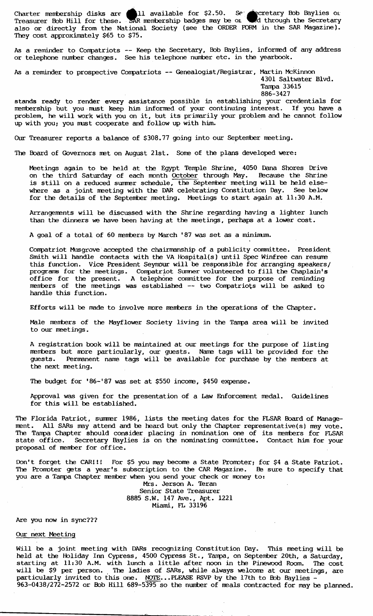Charter membership disks are **611** available for \$2.50. Set  $\bullet$  cretary Bob Baylies on Treasurer Bob Hill for these. SAR membership badges may be or wed through the Secretary also or directly from the National Society (see the ORDER FORM in the SAR Magazine). They cost approximately \$65 to \$75.

As a reminder to Compatriots -- Keep the Secretary, Bob Baylies, informed of any address or telephone nunber changes. See his telephone nunber etc. in the yearbook.

As a reminder to prospective Compatriots -- Genealogist/Registrar, Martin McKinnon

4301 Saltwater Blvd. Tampa 33615

886-3427

stands ready to render every assistance possible in establishing your credentials for membership but you must keep him informed of your continuing interest. If you have a problem, he will work with you on it, but its primarily your problem and he cannot follow up with you; you must cooperate and follow up with him.

Our Treasurer reports a balance of \$308.77 going into our September meeting.

The Board of Governors met on August 21st. Some of the plans developed were:

Meetings again to be held at the Egypt Temple Shrine, 4050 Dana Shores Drive<br>on the third Saturday of each month October through May. Because the Shrine on the third Saturday of each month October through May. is still on a reduced summer schedule, the September meeting will be held elsewhere as a joint meeting with the DAR celebrating Constitution Day. See below for the details of the September meeting. Meetings to start again at 11:30 A.M.

Arrangements will be discussed with the Shrine regarding having a lighter lunch than the dinners we have been having at the meetings, perhaps at a lower cost.

A goal of a total of 60 members by March '87 was set as a minimum.

Compatriot Musgrove accepted the chairmanship of a publicity committee. President Smith will handle contacts with the VA Hospital(s) until Spec Winfree can resume this function. Vice President Seymour will be responsible for arranging speakers/ programs for the meetings. Compatriot Summer volunteered to fill the Chaplain's office for the present. A telephone committee for the purpose of reminding members of the meetings was established -- two Compatriots will be asked to handle this function.

Efforts will be made to involve more members in the operations of the Chapter.

Male members of the Mayflower Society living in the Tampa area will be invited to our meetings.

A registration book will be maintained at our meetings for the purpose of listing members but more particularly, our guests. Name tags will be provided for the guests. Permanent name tags will be available for purchase by the members at Permanent name tags will be available for purchase by the members at the next meeting.

The budget for '86-'87 was set at \$550 income, \$450 expense.

Approval was given for the presentation of a Law Enforcement medal. Guidelines for this will be established.

The Florida Patriot, summer 1986, lists the meeting dates for the FLSAR Board of Management. All SARs may attend and be heard but only the Chapter representative(s) may vote. The Tampa Chapter should consider placing in nomination one of its members for FLSAR state office. Secretary Baylies is on the nominating committee. Contact him for your Secretary Baylies is on the nominating committee. Contact him for your proposal of member for office.

Don't forget the CAR!!! For \$5 you may become a State Promoter; for \$4 a State Patriot. The Promoter gets a year's subscription to the CAR Magazine. Be sure to specify that you are a Tampa Chapter member when you send your check or money to: Mrs. Jerson A. Teran Senior State Treasurer

8885 S.W. 147 Ave., Apt. 1221 Miami, FL 33196

## Are you now in sync???

### Our next Meeting

Will be a joint meeting with DARs recognizing Constitution Day. This meeting will be held at the Holiday Inn Cypress, 4500 Cypress St., Tampa, on September 20th, a Saturday, starting at 11:30 A.M. with lunch a little after noon in the Pinewood Room. The cost starting at 11:30 A.M. with lunch a little after noon in the Pinewood Room. The cost will be \$9 per person. The ladies of SARs, while always welcome at our meetings, are particularly invited to this one. NOTE...PLEASE RSVP by the 17th to Bob Baylies  $963-0438/272-2572$  or Bob Hill  $689-5\overline{395}$  so the number of meals contracted for may be planned.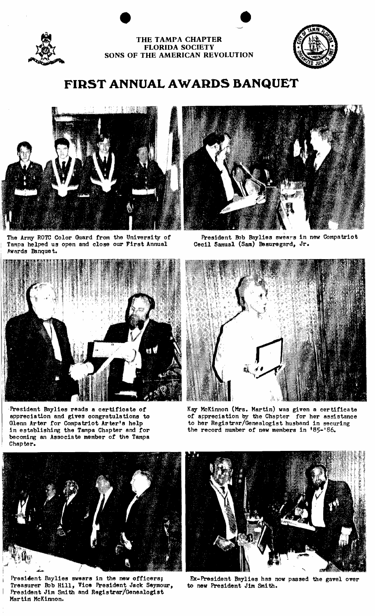

i





# **FIRST ANNUAL AWARDS BANQUET**



The Army ROTC Color Guard from the University of Tempa helped us open and close our First Annual Awards Banque t.



President Baylies reads a certificate of appreciation and gives oongratulations to Glenn Arter for Compatriot Arter's help in establishing the Tampa Chapter and for becoming an Associate member of the Tampa Chapter.



President Bob Baylies swears in new Compatriot Cecil 5amual (Sam) Beauregard, Jr.



Kay McKinnon (Mrs. Martin) was given a certificate of appreciation by the Chapter for her assistance to her Registrar/Genealogist husband in securing the record number of new members in '85-'86.



President Baylies swears in the new officers; Treasurer Bob Hill, Vice President Jack Seymour, President Jim Smith and Registrar/Genealogist Martin McKinnon.



Ex-President Baylies has now passed the gavel over to new President Jim Smith.